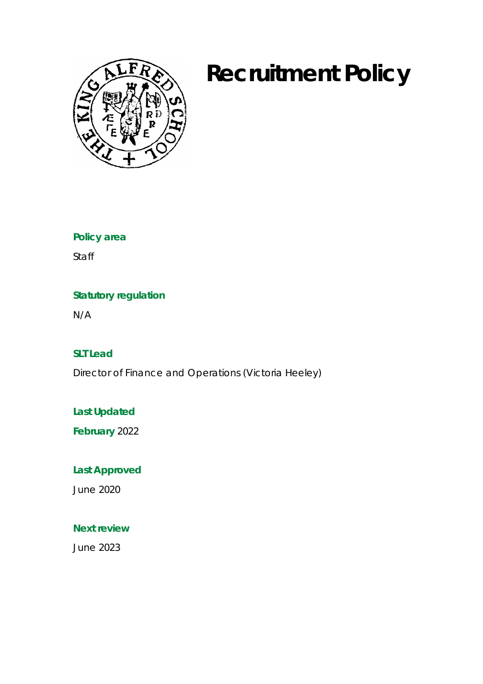# **Recruitment Policy**



**Policy area**

Staff

### **Statutory regulation**

N/A

**SLT Lead**

Director of Finance and Operations (Victoria Heeley)

**Last Updated**

**February** 2022

**Last Approved**

June 2020

**Next review**

June 2023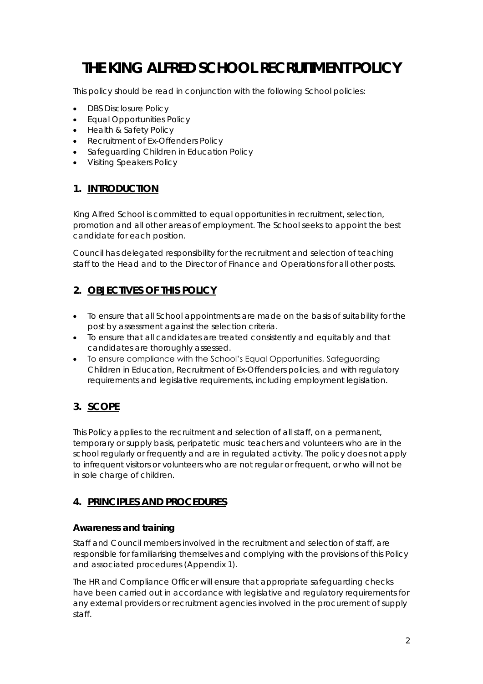# **THE KING ALFRED SCHOOL RECRUITMENT POLICY**

This policy should be read in conjunction with the following School policies:

- DBS Disclosure Policy
- Equal Opportunities Policy
- Health & Safety Policy
- Recruitment of Ex-Offenders Policy
- Safeguarding Children in Education Policy
- Visiting Speakers Policy

#### **1. INTRODUCTION**

King Alfred School is committed to equal opportunities in recruitment, selection, promotion and all other areas of employment. The School seeks to appoint the best candidate for each position.

Council has delegated responsibility for the recruitment and selection of teaching staff to the Head and to the Director of Finance and Operations for all other posts.

#### **2. OBJECTIVES OF THIS POLICY**

- To ensure that all School appointments are made on the basis of suitability for the post by assessment against the selection criteria.
- To ensure that all candidates are treated consistently and equitably and that candidates are thoroughly assessed.
- To ensure compliance with the School's Equal Opportunities, Safeguarding Children in Education, Recruitment of Ex-Offenders policies, and with regulatory requirements and legislative requirements, including employment legislation.

#### **3. SCOPE**

This Policy applies to the recruitment and selection of all staff, on a permanent, temporary or supply basis, peripatetic music teachers and volunteers who are in the school regularly or frequently and are in regulated activity. The policy does not apply to infrequent visitors or volunteers who are not regular or frequent, or who will not be in sole charge of children.

#### **4. PRINCIPLES AND PROCEDURES**

#### **Awareness and training**

Staff and Council members involved in the recruitment and selection of staff, are responsible for familiarising themselves and complying with the provisions of this Policy and associated procedures (Appendix 1).

The HR and Compliance Officer will ensure that appropriate safeguarding checks have been carried out in accordance with legislative and regulatory requirements for any external providers or recruitment agencies involved in the procurement of supply staff.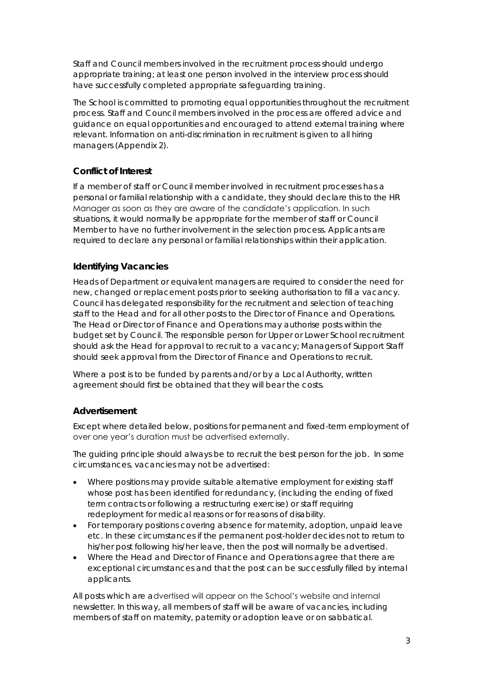Staff and Council members involved in the recruitment process should undergo appropriate training; at least one person involved in the interview process should have successfully completed appropriate safeguarding training.

The School is committed to promoting equal opportunities throughout the recruitment process. Staff and Council members involved in the process are offered advice and guidance on equal opportunities and encouraged to attend external training where relevant. Information on anti-discrimination in recruitment is given to all hiring managers (Appendix 2).

#### **Conflict of Interest**

If a member of staff or Council member involved in recruitment processes has a personal or familial relationship with a candidate, they should declare this to the HR Manager as soon as they are aware of the candidate's application. In such situations, it would normally be appropriate for the member of staff or Council Member to have no further involvement in the selection process. Applicants are required to declare any personal or familial relationships within their application.

#### **Identifying Vacancies**

Heads of Department or equivalent managers are required to consider the need for new, changed or replacement posts prior to seeking authorisation to fill a vacancy. Council has delegated responsibility for the recruitment and selection of teaching staff to the Head and for all other posts to the Director of Finance and Operations. The Head or Director of Finance and Operations may authorise posts within the budget set by Council. The responsible person for Upper or Lower School recruitment should ask the Head for approval to recruit to a vacancy; Managers of Support Staff should seek approval from the Director of Finance and Operations to recruit.

Where a post is to be funded by parents and/or by a Local Authority, written agreement should first be obtained that they will bear the costs.

#### **Advertisement**

Except where detailed below, positions for permanent and fixed-term employment of over one year's duration must be advertised externally.

The guiding principle should always be to recruit the best person for the job. In some circumstances, vacancies may not be advertised:

- Where positions may provide suitable alternative employment for existing staff whose post has been identified for redundancy, (including the ending of fixed term contracts or following a restructuring exercise) or staff requiring redeployment for medical reasons or for reasons of disability.
- For temporary positions covering absence for maternity, adoption, unpaid leave etc. In these circumstances if the permanent post-holder decides not to return to his/her post following his/her leave, then the post will normally be advertised.
- Where the Head and Director of Finance and Operations agree that there are exceptional circumstances and that the post can be successfully filled by internal applicants.

All posts which are advertised will appear on the School's website and internal newsletter. In this way, all members of staff will be aware of vacancies, including members of staff on maternity, paternity or adoption leave or on sabbatical.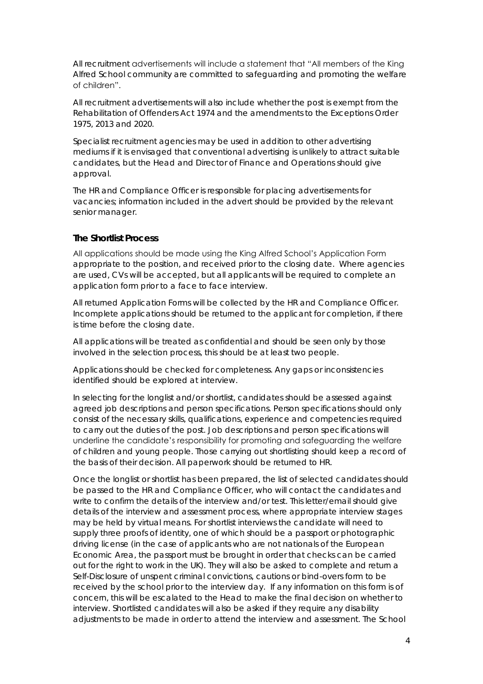All recruitment advertisements will include a statement that "All members of the King Alfred School community are committed to safeguarding and promoting the welfare of children".

All recruitment advertisements will also include whether the post is exempt from the Rehabilitation of Offenders Act 1974 and the amendments to the Exceptions Order 1975, 2013 and 2020.

Specialist recruitment agencies may be used in addition to other advertising mediums if it is envisaged that conventional advertising is unlikely to attract suitable candidates, but the Head and Director of Finance and Operations should give approval.

The HR and Compliance Officer is responsible for placing advertisements for vacancies; information included in the advert should be provided by the relevant senior manager.

#### **The Shortlist Process**

All applications should be made using the King Alfred School's Application Form appropriate to the position, and received prior to the closing date. Where agencies are used, CVs will be accepted, but all applicants will be required to complete an application form prior to a face to face interview.

All returned Application Forms will be collected by the HR and Compliance Officer. Incomplete applications should be returned to the applicant for completion, if there is time before the closing date.

All applications will be treated as confidential and should be seen only by those involved in the selection process, this should be at least two people.

Applications should be checked for completeness. Any gaps or inconsistencies identified should be explored at interview.

In selecting for the longlist and/or shortlist, candidates should be assessed against agreed job descriptions and person specifications. Person specifications should only consist of the necessary skills, qualifications, experience and competencies required to carry out the duties of the post. Job descriptions and person specifications will underline the candidate's responsibility for promoting and safeguarding the welfare of children and young people. Those carrying out shortlisting should keep a record of the basis of their decision. All paperwork should be returned to HR.

Once the longlist or shortlist has been prepared, the list of selected candidates should be passed to the HR and Compliance Officer, who will contact the candidates and write to confirm the details of the interview and/or test. This letter/email should give details of the interview and assessment process, where appropriate interview stages may be held by virtual means. For shortlist interviews the candidate will need to supply three proofs of identity, one of which should be a passport or photographic driving license (in the case of applicants who are not nationals of the European Economic Area, the passport must be brought in order that checks can be carried out for the right to work in the UK). They will also be asked to complete and return a Self-Disclosure of unspent criminal convictions, cautions or bind-overs form to be received by the school prior to the interview day. If any information on this form is of concern, this will be escalated to the Head to make the final decision on whether to interview. Shortlisted candidates will also be asked if they require any disability adjustments to be made in order to attend the interview and assessment. The School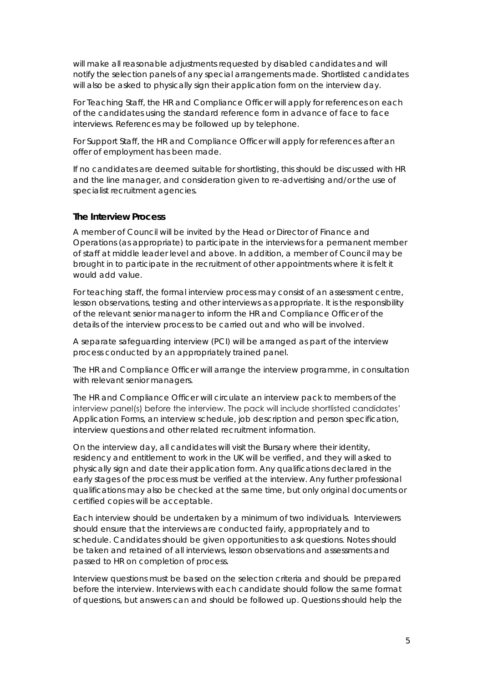will make all reasonable adjustments requested by disabled candidates and will notify the selection panels of any special arrangements made. Shortlisted candidates will also be asked to physically sign their application form on the interview day.

For Teaching Staff, the HR and Compliance Officer will apply for references on each of the candidates using the standard reference form in advance of face to face interviews. References may be followed up by telephone.

For Support Staff, the HR and Compliance Officer will apply for references after an offer of employment has been made.

If no candidates are deemed suitable for shortlisting, this should be discussed with HR and the line manager, and consideration given to re-advertising and/or the use of specialist recruitment agencies.

#### **The Interview Process**

A member of Council will be invited by the Head or Director of Finance and Operations (as appropriate) to participate in the interviews for a permanent member of staff at middle leader level and above. In addition, a member of Council may be brought in to participate in the recruitment of other appointments where it is felt it would add value.

For teaching staff, the formal interview process may consist of an assessment centre, lesson observations, testing and other interviews as appropriate. It is the responsibility of the relevant senior manager to inform the HR and Compliance Officer of the details of the interview process to be carried out and who will be involved.

A separate safeguarding interview (PCI) will be arranged as part of the interview process conducted by an appropriately trained panel.

The HR and Compliance Officer will arrange the interview programme, in consultation with relevant senior managers.

The HR and Compliance Officer will circulate an interview pack to members of the interview panel(s) before the interview. The pack will include shortlisted candidates' Application Forms, an interview schedule, job description and person specification, interview questions and other related recruitment information.

On the interview day, all candidates will visit the Bursary where their identity, residency and entitlement to work in the UK will be verified, and they will asked to physically sign and date their application form. Any qualifications declared in the early stages of the process must be verified at the interview. Any further professional qualifications may also be checked at the same time, but only original documents or certified copies will be acceptable.

Each interview should be undertaken by a minimum of two individuals. Interviewers should ensure that the interviews are conducted fairly, appropriately and to schedule. Candidates should be given opportunities to ask questions. Notes should be taken and retained of all interviews, lesson observations and assessments and passed to HR on completion of process.

Interview questions must be based on the selection criteria and should be prepared before the interview. Interviews with each candidate should follow the same format of questions, but answers can and should be followed up. Questions should help the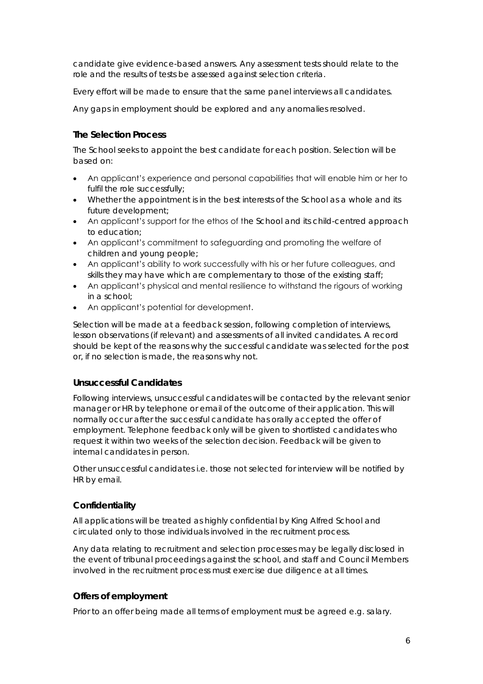candidate give evidence-based answers. Any assessment tests should relate to the role and the results of tests be assessed against selection criteria.

Every effort will be made to ensure that the same panel interviews all candidates.

Any gaps in employment should be explored and any anomalies resolved.

#### **The Selection Process**

The School seeks to appoint the best candidate for each position. Selection will be based on:

- An applicant's experience and personal capabilities that will enable him or her to fulfil the role successfully;
- Whether the appointment is in the best interests of the School as a whole and its future development;
- An applicant's support for the ethos of the School and its child-centred approach to education;
- An applicant's commitment to safeguarding and promoting the welfare of children and young people;
- An applicant's ability to work successfully with his or her future colleagues, and skills they may have which are complementary to those of the existing staff;
- An applicant's physical and mental resilience to withstand the rigours of working in a school;
- An applicant's potential for development.

Selection will be made at a feedback session, following completion of interviews, lesson observations (if relevant) and assessments of all invited candidates. A record should be kept of the reasons why the successful candidate was selected for the post or, if no selection is made, the reasons why not.

#### **Unsuccessful Candidates**

Following interviews, unsuccessful candidates will be contacted by the relevant senior manager or HR by telephone or email of the outcome of their application. This will normally occur after the successful candidate has orally accepted the offer of employment. Telephone feedback only will be given to shortlisted candidates who request it within two weeks of the selection decision. Feedback will be given to internal candidates in person.

Other unsuccessful candidates i.e. those not selected for interview will be notified by HR by email.

#### **Confidentiality**

All applications will be treated as highly confidential by King Alfred School and circulated only to those individuals involved in the recruitment process.

Any data relating to recruitment and selection processes may be legally disclosed in the event of tribunal proceedings against the school, and staff and Council Members involved in the recruitment process must exercise due diligence at all times.

#### **Offers of employment**

Prior to an offer being made all terms of employment must be agreed e.g. salary.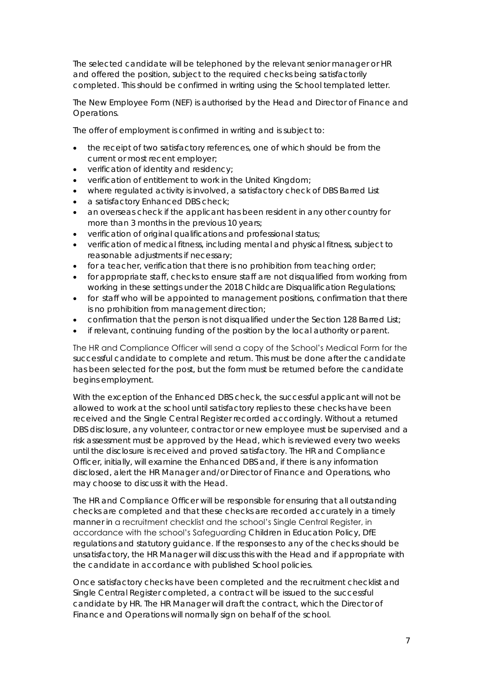The selected candidate will be telephoned by the relevant senior manager or HR and offered the position, subject to the required checks being satisfactorily completed. This should be confirmed in writing using the School templated letter.

The New Employee Form (NEF) is authorised by the Head and Director of Finance and Operations.

The offer of employment is confirmed in writing and is subject to:

- the receipt of two satisfactory references, one of which should be from the current or most recent employer;
- verification of identity and residency;
- verification of entitlement to work in the United Kingdom;
- where regulated activity is involved, a satisfactory check of DBS Barred List
- a satisfactory Enhanced DBS check;
- an overseas check if the applicant has been resident in any other country for more than 3 months in the previous 10 years;
- verification of original qualifications and professional status;
- verification of medical fitness, including mental and physical fitness, subject to reasonable adjustments if necessary;
- for a teacher, verification that there is no prohibition from teaching order;
- for appropriate staff, checks to ensure staff are not disqualified from working from working in these settings under the 2018 Childcare Disqualification Regulations;
- for staff who will be appointed to management positions, confirmation that there is no prohibition from management direction;
- confirmation that the person is not disqualified under the Section 128 Barred List;
- if relevant, continuing funding of the position by the local authority or parent.

The HR and Compliance Officer will send a copy of the School's Medical Form for the successful candidate to complete and return. This must be done after the candidate has been selected for the post, but the form must be returned before the candidate begins employment.

With the exception of the Enhanced DBS check, the successful applicant will not be allowed to work at the school until satisfactory replies to these checks have been received and the Single Central Register recorded accordingly. Without a returned DBS disclosure, any volunteer, contractor or new employee must be supervised and a risk assessment must be approved by the Head, which is reviewed every two weeks until the disclosure is received and proved satisfactory. The HR and Compliance Officer, initially, will examine the Enhanced DBS and, if there is any information disclosed, alert the HR Manager and/or Director of Finance and Operations, who may choose to discuss it with the Head.

The HR and Compliance Officer will be responsible for ensuring that all outstanding checks are completed and that these checks are recorded accurately in a timely manner in a recruitment checklist and the school's Single Central Register, in accordance with the school's Safeguarding Children in Education Policy, DfE regulations and statutory guidance. If the responses to any of the checks should be unsatisfactory, the HR Manager will discuss this with the Head and if appropriate with the candidate in accordance with published School policies.

Once satisfactory checks have been completed and the recruitment checklist and Single Central Register completed, a contract will be issued to the successful candidate by HR. The HR Manager will draft the contract, which the Director of Finance and Operations will normally sign on behalf of the school.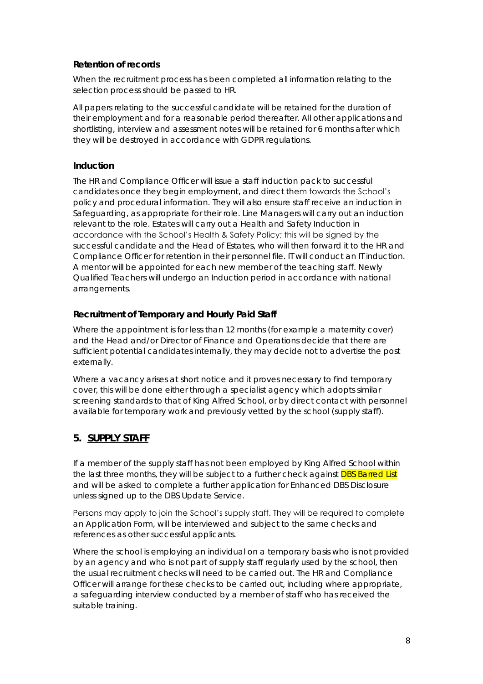#### **Retention of records**

When the recruitment process has been completed all information relating to the selection process should be passed to HR.

All papers relating to the successful candidate will be retained for the duration of their employment and for a reasonable period thereafter. All other applications and shortlisting, interview and assessment notes will be retained for 6 months after which they will be destroyed in accordance with GDPR regulations.

#### **Induction**

The HR and Compliance Officer will issue a staff induction pack to successful candidates once they begin employment, and direct them towards the School's policy and procedural information. They will also ensure staff receive an induction in Safeguarding, as appropriate for their role. Line Managers will carry out an induction relevant to the role. Estates will carry out a Health and Safety Induction in accordance with the School's Health & Safety Policy; this will be signed by the successful candidate and the Head of Estates, who will then forward it to the HR and Compliance Officer for retention in their personnel file. IT will conduct an IT induction. A mentor will be appointed for each new member of the teaching staff. Newly Qualified Teachers will undergo an Induction period in accordance with national arrangements.

#### **Recruitment of Temporary and Hourly Paid Staff**

Where the appointment is for less than 12 months (for example a maternity cover) and the Head and/or Director of Finance and Operations decide that there are sufficient potential candidates internally, they may decide not to advertise the post externally.

Where a vacancy arises at short notice and it proves necessary to find temporary cover, this will be done either through a specialist agency which adopts similar screening standards to that of King Alfred School, or by direct contact with personnel available for temporary work and previously vetted by the school (supply staff).

#### **5. SUPPLY STAFF**

If a member of the supply staff has not been employed by King Alfred School within the last three months, they will be subject to a further check against **DBS Barred List** and will be asked to complete a further application for Enhanced DBS Disclosure unless signed up to the DBS Update Service.

Persons may apply to join the School's supply staff. They will be required to complete an Application Form, will be interviewed and subject to the same checks and references as other successful applicants.

Where the school is employing an individual on a temporary basis who is not provided by an agency and who is not part of supply staff regularly used by the school, then the usual recruitment checks will need to be carried out. The HR and Compliance Officer will arrange for these checks to be carried out, including where appropriate, a safeguarding interview conducted by a member of staff who has received the suitable training.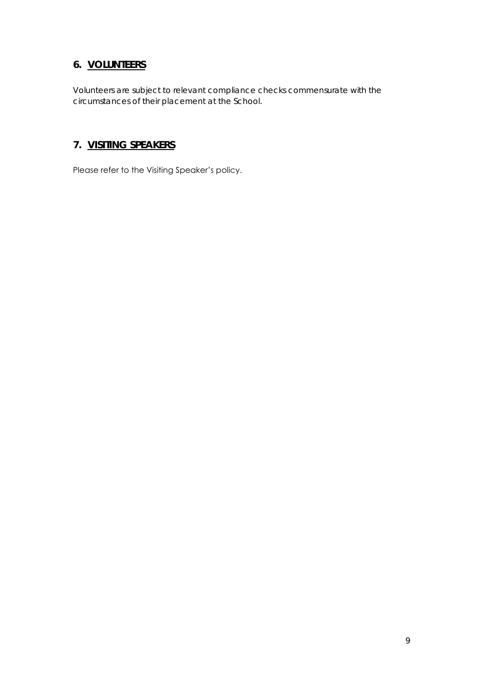### **6. VOLUNTEERS**

Volunteers are subject to relevant compliance checks commensurate with the circumstances of their placement at the School.

#### **7. VISITING SPEAKERS**

Please refer to the Visiting Speaker's policy.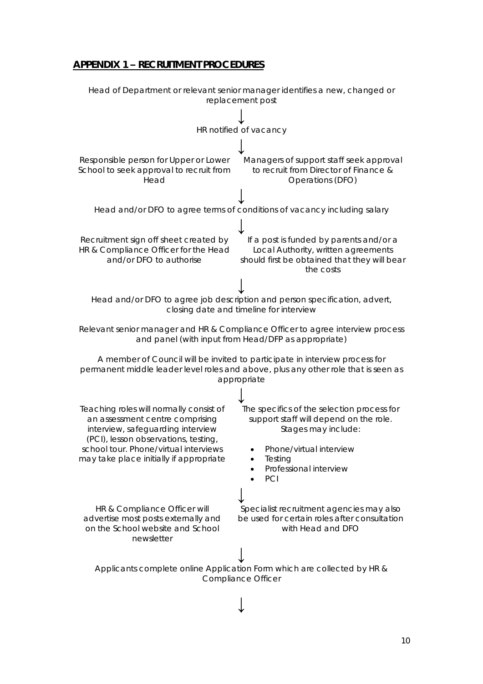#### **APPENDIX 1 – RECRUITMENT PROCEDURES**

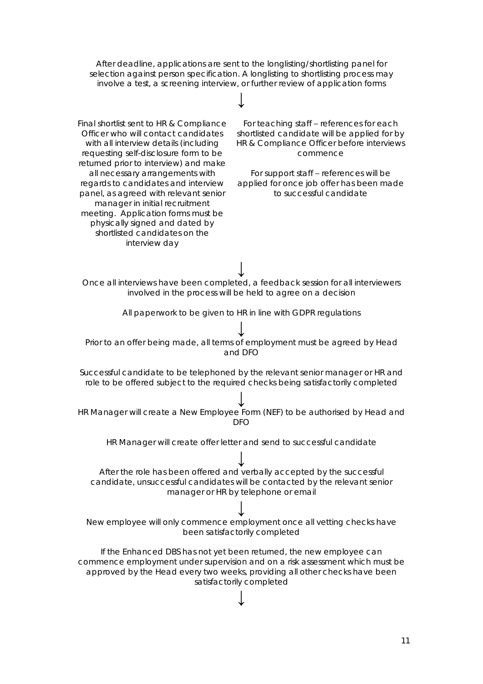After deadline, applications are sent to the longlisting/shortlisting panel for selection against person specification. A longlisting to shortlisting process may involve a test, a screening interview, or further review of application forms

# **↓**

Final shortlist sent to HR & Compliance Officer who will contact candidates with all interview details (including requesting self-disclosure form to be returned prior to interview) and make all necessary arrangements with regards to candidates and interview panel, as agreed with relevant senior manager in initial recruitment meeting. Application forms must be physically signed and dated by shortlisted candidates on the interview day

For teaching staff – references for each shortlisted candidate will be applied for by HR & Compliance Officer before interviews commence

For support staff – references will be applied for once job offer has been made to successful candidate

Once all interviews have been completed, a feedback session for all interviewers involved in the process will be held to agree on a decision

**↓**

All paperwork to be given to HR in line with GDPR regulations

## **↓**

Prior to an offer being made, all terms of employment must be agreed by Head and DFO

Successful candidate to be telephoned by the relevant senior manager or HR and role to be offered subject to the required checks being satisfactorily completed

**↓** HR Manager will create a New Employee Form (NEF) to be authorised by Head and  $DFO$ 

HR Manager will create offer letter and send to successful candidate

**↓** After the role has been offered and verbally accepted by the successful candidate, unsuccessful candidates will be contacted by the relevant senior manager or HR by telephone or email

**↓** New employee will only commence employment once all vetting checks have been satisfactorily completed

If the Enhanced DBS has not yet been returned, the new employee can commence employment under supervision and on a risk assessment which must be approved by the Head every two weeks, providing all other checks have been satisfactorily completed

# **↓**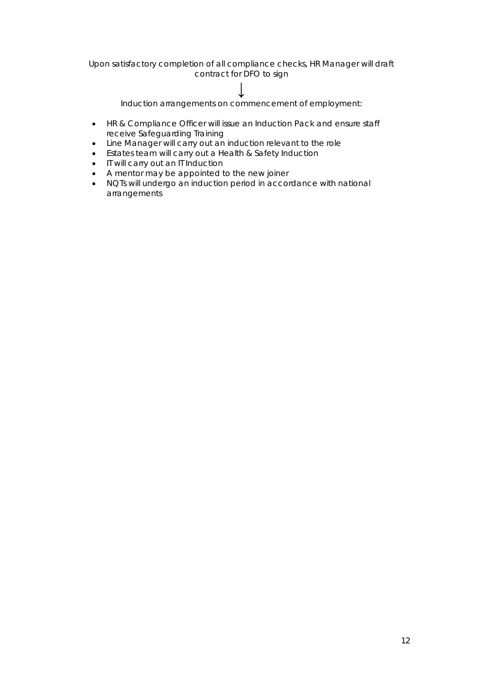Upon satisfactory completion of all compliance checks, HR Manager will draft contract for DFO to sign

### **↓**

Induction arrangements on commencement of employment:

- HR & Compliance Officer will issue an Induction Pack and ensure staff receive Safeguarding Training
- Line Manager will carry out an induction relevant to the role
- Estates team will carry out a Health & Safety Induction
- IT will carry out an IT Induction
- A mentor may be appointed to the new joiner
- NQTs will undergo an induction period in accordance with national arrangements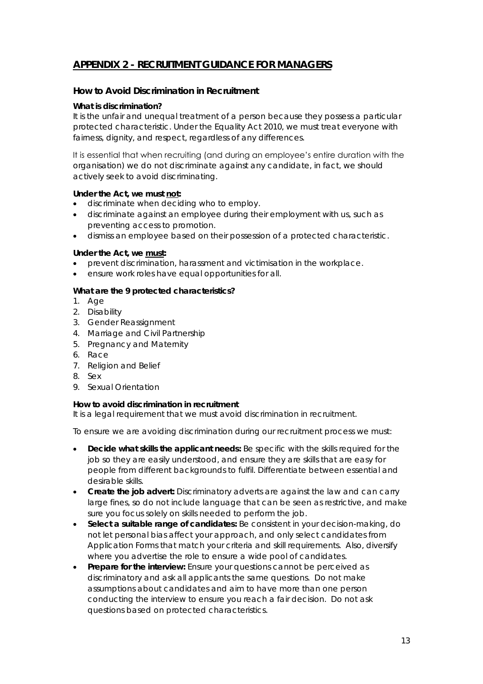#### **APPENDIX 2 - RECRUITMENT GUIDANCE FOR MANAGERS**

#### **How to Avoid Discrimination in Recruitment**

#### *What is discrimination?*

It is the unfair and unequal treatment of a person because they possess a particular protected characteristic. Under the Equality Act 2010, we must treat everyone with fairness, dignity, and respect, regardless of any differences.

It is essential that when recruiting (and during an employee's entire duration with the organisation) we do not discriminate against any candidate, in fact, we should actively seek to avoid discriminating.

*Under the Act, we must not:*

- discriminate when deciding who to employ.
- discriminate against an employee during their employment with us, such as preventing access to promotion.
- dismiss an employee based on their possession of a protected characteristic.

#### *Under the Act, we must:*

- prevent discrimination, harassment and victimisation in the workplace.
- ensure work roles have equal opportunities for all.

#### *What are the 9 protected characteristics?*

- 1. Age
- 2. Disability
- 3. Gender Reassignment
- 4. Marriage and Civil Partnership
- 5. Pregnancy and Maternity
- 6. Race
- 7. Religion and Belief
- 8. Sex
- 9. Sexual Orientation

#### *How to avoid discrimination in recruitment*

It is a legal requirement that we must avoid discrimination in recruitment.

To ensure we are avoiding discrimination during our recruitment process we must:

- **Decide what skills the applicant needs:** Be specific with the skills required for the job so they are easily understood, and ensure they are skills that are easy for people from different backgrounds to fulfil. Differentiate between essential and desirable skills.
- **Create the job advert:** Discriminatory adverts are against the law and can carry large fines, so do not include language that can be seen as restrictive, and make sure you focus solely on skills needed to perform the job.
- **Select a suitable range of candidates:** Be consistent in your decision-making, do not let personal bias affect your approach, and only select candidates from Application Forms that match your criteria and skill requirements. Also, diversify where you advertise the role to ensure a wide pool of candidates.
- **Prepare for the interview:** Ensure your questions cannot be perceived as discriminatory and ask all applicants the same questions. Do not make assumptions about candidates and aim to have more than one person conducting the interview to ensure you reach a fair decision. Do not ask questions based on protected characteristics.